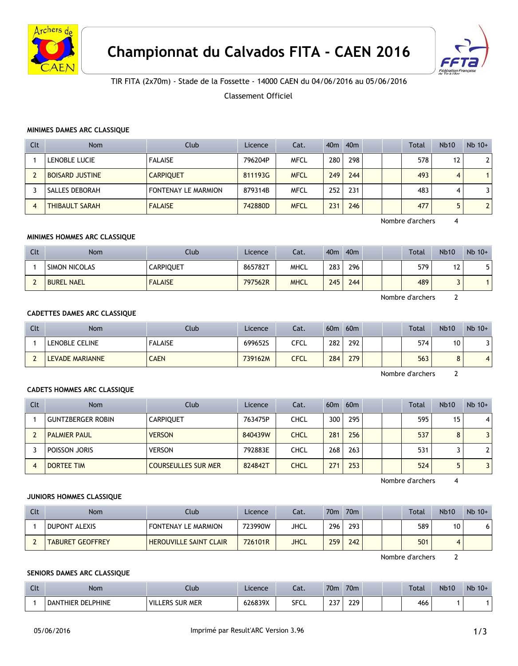



# TIR FITA (2x70m) - Stade de la Fossette - 14000 CAEN du 04/06/2016 au 05/06/2016

Classement Officiel

#### **MINIMES DAMES ARC CLASSIQUE**

| Clt | <b>Nom</b>             | Club                       | Licence | Cat.        | 40 <sub>m</sub> | 40 <sub>m</sub> |  | Total | <b>Nb10</b> | $Nb$ 10+       |
|-----|------------------------|----------------------------|---------|-------------|-----------------|-----------------|--|-------|-------------|----------------|
|     | LENOBLE LUCIE          | <b>FALAISE</b>             | 796204P | <b>MFCL</b> | 280             | 298             |  | 578   | 12          | $\overline{2}$ |
|     | <b>BOISARD JUSTINE</b> | <b>CARPIQUET</b>           | 811193G | <b>MFCL</b> | 249             | 244             |  | 493   | 4           |                |
|     | SALLES DEBORAH         | <b>FONTENAY LE MARMION</b> | 879314B | <b>MFCL</b> | 252             | 231             |  | 483   | 4           |                |
| 4   | <b>THIBAULT SARAH</b>  | <b>FALAISE</b>             | 742880D | <b>MFCL</b> | 231             | 246             |  | 477   |             | $\overline{2}$ |

Nombre d'archers 4

#### **MINIMES HOMMES ARC CLASSIQUE**

| Clt | <b>Nom</b>        | Club             | Licence | Cat.        | 40 <sub>m</sub> | 40 <sub>m</sub> |  | <b>Total</b> | <b>Nb10</b> | $Nb$ 10+ |
|-----|-------------------|------------------|---------|-------------|-----------------|-----------------|--|--------------|-------------|----------|
|     | SIMON NICOLAS     | <b>CARPIQUET</b> | 865782T | <b>MHCL</b> | 283             | 296             |  | 579          | 12          |          |
|     | <b>BUREL NAEL</b> | <b>FALAISE</b>   | 797562R | <b>MHCL</b> | 245             | 244             |  | 489          |             |          |

Nombre d'archers 2

## **CADETTES DAMES ARC CLASSIQUE**

| Clt | Nom             | Club           | Licence | Cat. | 60 <sub>m</sub> | 60 <sub>m</sub> |  | <b>Total</b> | <b>Nb10</b>     | $Nb$ 10+       |
|-----|-----------------|----------------|---------|------|-----------------|-----------------|--|--------------|-----------------|----------------|
|     | LENOBLE CELINE  | <b>FALAISE</b> | 699652S | CFCL | 282             | 292             |  | 574          | 10              |                |
|     | LEVADE MARIANNE | <b>CAEN</b>    | 739162M | CFCL | 284             | 279             |  | 563          | $\epsilon$<br>Ο | $\overline{4}$ |

Nombre d'archers 2

#### **CADETS HOMMES ARC CLASSIQUE**

| Clt | Nom                      | Club                       | Licence | Cat.        | 60 <sub>m</sub> | 60 <sub>m</sub> |  | <b>Total</b> | <b>Nb10</b> | $Nb$ 10+     |
|-----|--------------------------|----------------------------|---------|-------------|-----------------|-----------------|--|--------------|-------------|--------------|
|     | <b>GUNTZBERGER ROBIN</b> | <b>CARPIOUET</b>           | 763475P | CHCL        | 300             | 295             |  | 595          | 15          | 4            |
|     | <b>PALMIER PAUL</b>      | <b>VERSON</b>              | 840439W | <b>CHCL</b> | 281             | 256             |  | 537          |             | 3            |
|     | POISSON JORIS            | <b>VERSON</b>              | 792883E | CHCL        | 268             | 263             |  | 531          |             | $\mathbf{2}$ |
| 4   | <b>DORTEE TIM</b>        | <b>COURSEULLES SUR MER</b> | 824842T | <b>CHCL</b> | 271             | 253             |  | 524          |             | 3            |

Nombre d'archers 4

### **JUNIORS HOMMES CLASSIQUE**

| Clt | Nom                     | Club                          | Licence | Cat.        | 70 <sub>m</sub> | 70 <sub>m</sub> |  | <b>Total</b> | <b>Nb10</b> | $Nb$ 10+ |
|-----|-------------------------|-------------------------------|---------|-------------|-----------------|-----------------|--|--------------|-------------|----------|
|     | DUPONT ALEXIS           | <b>FONTENAY LE MARMION</b>    | 723990W | JHCL        | 296             | 293             |  | 589          | 10          |          |
|     | <b>TABURET GEOFFREY</b> | <b>HEROUVILLE SAINT CLAIR</b> | 726101R | <b>JHCL</b> | 259             | 242             |  | 501          |             |          |

Nombre d'archers 2

## **SENIORS DAMES ARC CLASSIQUE**

| C14<br><b>CLU</b> | Nom                      | Ilub                   | Licence | Cat.        | 70 <sub>m</sub>            | 70 <sub>m</sub> |  | Total | <b>Nb10</b> | $Nb$ 10+ |
|-------------------|--------------------------|------------------------|---------|-------------|----------------------------|-----------------|--|-------|-------------|----------|
|                   | <b>DANTHIER DELPHINE</b> | <b>VILLERS SUR MER</b> | 626839X | <b>SFCL</b> | $\sim$ $\sim$ $\sim$<br>رے | 229             |  | 466   |             |          |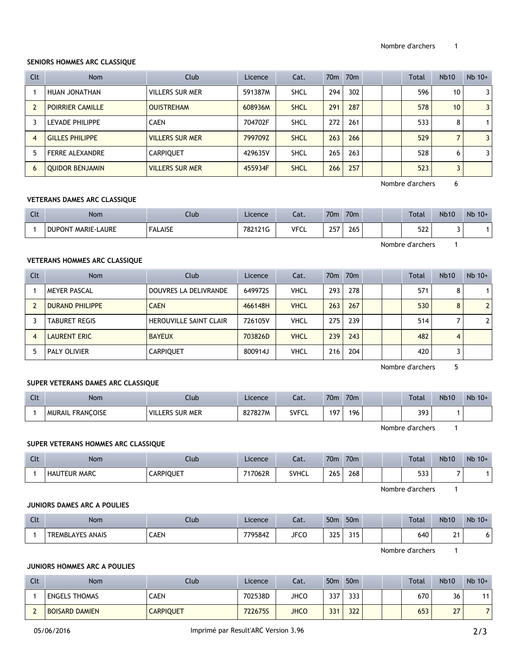# **SENIORS HOMMES ARC CLASSIQUE**

| Clt | <b>Nom</b>              | Club                   | Licence | Cat.        | 70 <sub>m</sub> | 70 <sub>m</sub> |  | Total | <b>Nb10</b> | $Nb$ 10+       |
|-----|-------------------------|------------------------|---------|-------------|-----------------|-----------------|--|-------|-------------|----------------|
|     | HUAN JONATHAN           | VILLERS SUR MER        | 591387M | <b>SHCL</b> | 294             | 302             |  | 596   | 10          | 3              |
|     | <b>POIRRIER CAMILLE</b> | <b>OUISTREHAM</b>      | 608936M | <b>SHCL</b> | 291             | 287             |  | 578   | 10          | 3              |
|     | LEVADE PHILIPPE         | <b>CAEN</b>            | 704702F | <b>SHCL</b> | 272             | 261             |  | 533   | 8           |                |
| 4   | <b>GILLES PHILIPPE</b>  | <b>VILLERS SUR MER</b> | 799709Z | <b>SHCL</b> | 263             | 266             |  | 529   |             | $\overline{3}$ |
|     | <b>FERRE ALEXANDRE</b>  | <b>CARPIQUET</b>       | 429635V | <b>SHCL</b> | 265             | 263             |  | 528   | 6           | 3              |
| 6   | <b>QUIDOR BENJAMIN</b>  | <b>VILLERS SUR MER</b> | 455934F | <b>SHCL</b> | 266             | 257             |  | 523   | 3           |                |

Nombre d'archers 6

# **VETERANS DAMES ARC CLASSIQUE**

| Clt | <b>Nom</b>                | Club           | Licence | Cat.        | 70 <sub>m</sub> | 70 <sub>m</sub> |  | Total            | <b>Nb10</b> | $Nb$ 10+ |
|-----|---------------------------|----------------|---------|-------------|-----------------|-----------------|--|------------------|-------------|----------|
|     | <b>DUPONT MARIE-LAURE</b> | <b>FALAISE</b> | 782121G | <b>VFCL</b> | 257             | 265             |  | 522              |             |          |
|     |                           |                |         |             |                 |                 |  | Nombre d'archers |             |          |

# **VETERANS HOMMES ARC CLASSIQUE**

| Clt            | <b>Nom</b>             | Club                          | Licence | Cat.        |     | 70 <sub>m</sub> 70 <sub>m</sub> |  | Total | <b>Nb10</b> | $Nb$ 10+       |
|----------------|------------------------|-------------------------------|---------|-------------|-----|---------------------------------|--|-------|-------------|----------------|
|                | <b>MEYER PASCAL</b>    | DOUVRES LA DELIVRANDE         | 649972S | <b>VHCL</b> | 293 | 278                             |  | 571   | 8           |                |
|                | <b>DURAND PHILIPPE</b> | <b>CAEN</b>                   | 466148H | <b>VHCL</b> | 263 | 267                             |  | 530   | 8           | $\overline{2}$ |
|                | <b>TABURET REGIS</b>   | <b>HEROUVILLE SAINT CLAIR</b> | 726105V | <b>VHCL</b> | 275 | 239                             |  | 514   |             | $\mathbf{2}$   |
| $\overline{4}$ | <b>LAURENT ERIC</b>    | <b>BAYEUX</b>                 | 703826D | <b>VHCL</b> | 239 | 243                             |  | 482   | 4           |                |
|                | PALY OLIVIER           | <b>CARPIQUET</b>              | 800914J | <b>VHCL</b> | 216 | 204                             |  | 420   |             |                |

Nombre d'archers 5

## **SUPER VETERANS DAMES ARC CLASSIQUE**

| Clt | Nom                     | Ilub                   | Licence | Cat.         | 70 <sub>m</sub> | 70 <sub>m</sub> |  | <b>Total</b> | <b>Nb10</b> | $Nb$ 10+ |
|-----|-------------------------|------------------------|---------|--------------|-----------------|-----------------|--|--------------|-------------|----------|
|     | <b>MURAIL FRANCOISE</b> | <b>VILLERS SUR MER</b> | 827827M | <b>SVFCL</b> | 197             | 196             |  | 393          |             |          |

Nombre d'archers 1

#### **SUPER VETERANS HOMMES ARC CLASSIQUE**

| Clt | Nom                 | Club      | Licence | Cat.         | 70 <sub>m</sub> | 70 <sub>m</sub> |  | Total       | <b>Nb10</b>              | $Nb$ 10+ |
|-----|---------------------|-----------|---------|--------------|-----------------|-----------------|--|-------------|--------------------------|----------|
|     | <b>HAUTEUR MARC</b> | CARPIQUET | 717062R | <b>SVHCL</b> | 265<br>$\sim$   | 268<br>__       |  | ED 3<br>ددد | $\overline{\phantom{0}}$ |          |

Nombre d'archers 1

## **JUNIORS DAMES ARC A POULIES**

| Clt | Nom                        | Club        | Licence | Cat.        | 50 <sub>m</sub> | 50 <sub>m</sub> |  | Total | <b>Nb10</b>   | $Nb$ 10+ |
|-----|----------------------------|-------------|---------|-------------|-----------------|-----------------|--|-------|---------------|----------|
|     | ANAIS<br><b>TREMBLAYES</b> | <b>CAEN</b> | 779584Z | <b>JFCC</b> | 325             | 315             |  | 640   | ີ<br><u>.</u> |          |

Nombre d'archers 1

#### **JUNIORS HOMMES ARC A POULIES**

| Clt | <b>Nom</b>            | Club             | Licence | Cat.        | 50 <sub>m</sub> | 50 <sub>m</sub> |  | Total | <b>Nb10</b> | $Nb$ 10+ |
|-----|-----------------------|------------------|---------|-------------|-----------------|-----------------|--|-------|-------------|----------|
|     | <b>ENGELS THOMAS</b>  | CAEN             | 702538D | <b>JHCO</b> | 337             | 333             |  | 670   | 36          | 4.4      |
|     | <b>BOISARD DAMIEN</b> | <b>CARPIQUET</b> | 722675S | <b>JHCO</b> | 331             | 322             |  | 653   | 27          |          |